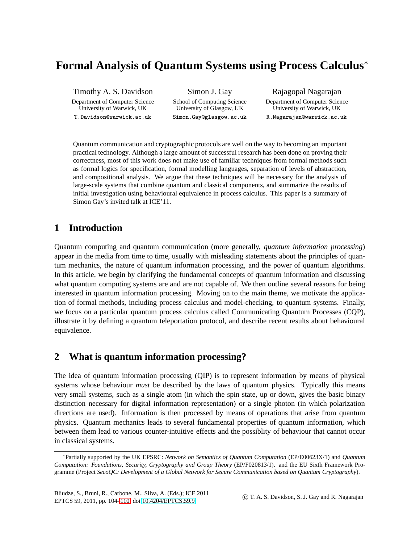# **Formal Analysis of Quantum Systems using Process Calculus**<sup>∗</sup>

Timothy A. S. Davidson

Department of Computer Science University of Warwick, UK T.Davidson@warwick.ac.uk

Simon J. Gay

School of Computing Science University of Glasgow, UK Simon.Gay@glasgow.ac.uk Rajagopal Nagarajan

Department of Computer Science University of Warwick, UK R.Nagarajan@warwick.ac.uk

Quantum communication and cryptographic protocols are well on the way to becoming an important practical technology. Although a large amount of successful research has been done on proving their correctness, most of this work does not make use of familiar techniques from formal methods such as formal logics for specification, formal modelling languages, separation of levels of abstraction, and compositional analysis. We argue that these techniques will be necessary for the analysis of large-scale systems that combine quantum and classical components, and summarize the results of initial investigation using behavioural equivalence in process calculus. This paper is a summary of Simon Gay's invited talk at ICE'11.

## **1 Introduction**

Quantum computing and quantum communication (more generally, *quantum information processing*) appear in the media from time to time, usually with misleading statements about the principles of quantum mechanics, the nature of quantum information processing, and the power of quantum algorithms. In this article, we begin by clarifying the fundamental concepts of quantum information and discussing what quantum computing systems are and are not capable of. We then outline several reasons for being interested in quantum information processing. Moving on to the main theme, we motivate the application of formal methods, including process calculus and model-checking, to quantum systems. Finally, we focus on a particular quantum process calculus called Communicating Quantum Processes (CQP), illustrate it by defining a quantum teleportation protocol, and describe recent results about behavioural equivalence.

## **2 What is quantum information processing?**

The idea of quantum information processing (QIP) is to represent information by means of physical systems whose behaviour *must* be described by the laws of quantum physics. Typically this means very small systems, such as a single atom (in which the spin state, up or down, gives the basic binary distinction necessary for digital information representation) or a single photon (in which polarization directions are used). Information is then processed by means of operations that arise from quantum physics. Quantum mechanics leads to several fundamental properties of quantum information, which between them lead to various counter-intuitive effects and the possiblity of behaviour that cannot occur in classical systems.

<sup>∗</sup>Partially supported by the UK EPSRC: *Network on Semantics of Quantum Computation* (EP/E00623X/1) and *Quantum Computation: Foundations, Security, Cryptography and Group Theory* (EP/F020813/1). and the EU Sixth Framework Programme (Project *SecoQC: Development of a Global Network for Secure Communication based on Quantum Cryptography*).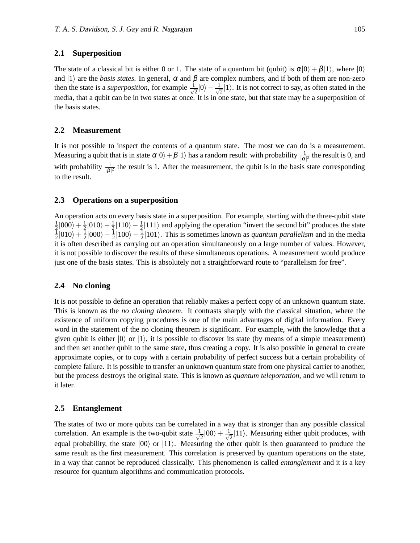#### **2.1 Superposition**

The state of a classical bit is either 0 or 1. The state of a quantum bit (qubit) is  $\alpha|0\rangle + \beta|1\rangle$ , where  $|0\rangle$ and  $|1\rangle$  are the *basis states*. In general,  $\alpha$  and  $\beta$  are complex numbers, and if both of them are non-zero then the state is a *superposition*, for example  $\frac{1}{\sqrt{2}}$  $\frac{1}{2}|0\rangle - \frac{1}{\sqrt{2}}$  $\frac{1}{2}$ |1). It is not correct to say, as often stated in the media, that a qubit can be in two states at once. It is in one state, but that state may be a superposition of the basis states.

#### **2.2 Measurement**

It is not possible to inspect the contents of a quantum state. The most we can do is a measurement. Measuring a qubit that is in state  $\alpha|0\rangle + \beta|1\rangle$  has a random result: with probability  $\frac{1}{|\alpha|^2}$  the result is 0, and with probability  $\frac{1}{|\beta|^2}$  the result is 1. After the measurement, the qubit is in the basis state corresponding to the result.

#### **2.3 Operations on a superposition**

An operation acts on every basis state in a superposition. For example, starting with the three-qubit state 1  $\frac{1}{2} |000\rangle + \frac{1}{2}$  $\frac{1}{2}$ [000} +  $\frac{1}{2}$ [010} -  $\frac{1}{2}$ [110} -  $\frac{1}{2}$ [111] and applying the operation "invert the second bit" produces the state<br>1010 + 1000} - 1100} - 1100} - 1101} This is sometimes known as *quantum parallalism*  $\frac{1}{2}|010\rangle + \frac{1}{2}$  $\frac{1}{2}$ |000 $\rangle - \frac{1}{2}$ |100 $\rangle - \frac{1}{2}$ |101 $\rangle$ . This is sometimes known as *quantum parallelism* and in the media it is often described as carrying out an operation simultaneously on a large number of values. However, it is not possible to discover the results of these simultaneous operations. A measurement would produce just one of the basis states. This is absolutely not a straightforward route to "parallelism for free".

#### **2.4 No cloning**

It is not possible to define an operation that reliably makes a perfect copy of an unknown quantum state. This is known as the *no cloning theorem*. It contrasts sharply with the classical situation, where the existence of uniform copying procedures is one of the main advantages of digital information. Every word in the statement of the no cloning theorem is significant. For example, with the knowledge that a given qubit is either  $|0\rangle$  or  $|1\rangle$ , it is possible to discover its state (by means of a simple measurement) and then set another qubit to the same state, thus creating a copy. It is also possible in general to create approximate copies, or to copy with a certain probability of perfect success but a certain probability of complete failure. It is possible to transfer an unknown quantum state from one physical carrier to another, but the process destroys the original state. This is known as *quantum teleportation*, and we will return to it later.

#### **2.5 Entanglement**

The states of two or more qubits can be correlated in a way that is stronger than any possible classical correlation. An example is the two-qubit state  $\frac{1}{\sqrt{2}}$  $\frac{1}{2}|00\rangle + \frac{1}{\sqrt{2}}$  $\frac{1}{2}$ |11). Measuring either qubit produces, with equal probability, the state  $|00\rangle$  or  $|11\rangle$ . Measuring the other qubit is then guaranteed to produce the same result as the first measurement. This correlation is preserved by quantum operations on the state, in a way that cannot be reproduced classically. This phenomenon is called *entanglement* and it is a key resource for quantum algorithms and communication protocols.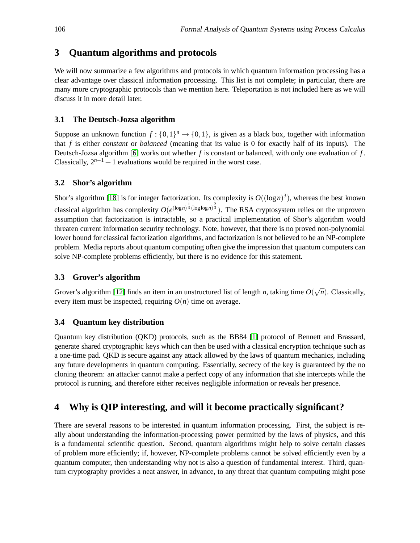## **3 Quantum algorithms and protocols**

We will now summarize a few algorithms and protocols in which quantum information processing has a clear advantage over classical information processing. This list is not complete; in particular, there are many more cryptographic protocols than we mention here. Teleportation is not included here as we will discuss it in more detail later.

#### **3.1 The Deutsch-Jozsa algorithm**

Suppose an unknown function  $f: \{0,1\}^n \to \{0,1\}$ , is given as a black box, together with information that *f* is either *constant* or *balanced* (meaning that its value is 0 for exactly half of its inputs). The Deutsch-Jozsa algorithm [\[6\]](#page-5-0) works out whether *f* is constant or balanced, with only one evaluation of *f* . Classically,  $2^{n-1} + 1$  evaluations would be required in the worst case.

#### **3.2 Shor's algorithm**

Shor's algorithm [\[18\]](#page-6-1) is for integer factorization. Its complexity is  $O((\log n)^3)$ , whereas the best known classical algorithm has complexity  $O(e^{(\log n)^{\frac{1}{3}}(\log \log n)^{\frac{2}{3}}})$ . The RSA cryptosystem relies on the unproven assumption that factorization is intractable, so a practical implementation of Shor's algorithm would threaten current information security technology. Note, however, that there is no proved non-polynomial lower bound for classical factorization algorithms, and factorization is not believed to be an NP-complete problem. Media reports about quantum computing often give the impression that quantum computers can solve NP-complete problems efficiently, but there is no evidence for this statement.

### **3.3 Grover's algorithm**

Grover's algorithm [\[12\]](#page-5-1) finds an item in an unstructured list of length *n*, taking time  $O(\sqrt{n})$ . Classically, every item must be inspected, requiring  $O(n)$  time on average.

### **3.4 Quantum key distribution**

Quantum key distribution (QKD) protocols, such as the BB84 [\[1\]](#page-5-2) protocol of Bennett and Brassard, generate shared cryptographic keys which can then be used with a classical encryption technique such as a one-time pad. QKD is secure against any attack allowed by the laws of quantum mechanics, including any future developments in quantum computing. Essentially, secrecy of the key is guaranteed by the no cloning theorem: an attacker cannot make a perfect copy of any information that she intercepts while the protocol is running, and therefore either receives negligible information or reveals her presence.

## **4 Why is QIP interesting, and will it become practically significant?**

There are several reasons to be interested in quantum information processing. First, the subject is really about understanding the information-processing power permitted by the laws of physics, and this is a fundamental scientific question. Second, quantum algorithms might help to solve certain classes of problem more efficiently; if, however, NP-complete problems cannot be solved efficiently even by a quantum computer, then understanding why not is also a question of fundamental interest. Third, quantum cryptography provides a neat answer, in advance, to any threat that quantum computing might pose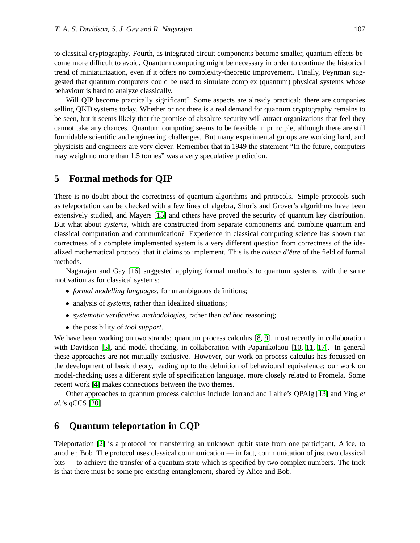to classical cryptography. Fourth, as integrated circuit components become smaller, quantum effects become more difficult to avoid. Quantum computing might be necessary in order to continue the historical trend of miniaturization, even if it offers no complexity-theoretic improvement. Finally, Feynman suggested that quantum computers could be used to simulate complex (quantum) physical systems whose behaviour is hard to analyze classically.

Will QIP become practically significant? Some aspects are already practical: there are companies selling QKD systems today. Whether or not there is a real demand for quantum cryptography remains to be seen, but it seems likely that the promise of absolute security will attract organizations that feel they cannot take any chances. Quantum computing seems to be feasible in principle, although there are still formidable scientific and engineering challenges. But many experimental groups are working hard, and physicists and engineers are very clever. Remember that in 1949 the statement "In the future, computers may weigh no more than 1.5 tonnes" was a very speculative prediction.

### **5 Formal methods for QIP**

There is no doubt about the correctness of quantum algorithms and protocols. Simple protocols such as teleportation can be checked with a few lines of algebra, Shor's and Grover's algorithms have been extensively studied, and Mayers [\[15\]](#page-6-2) and others have proved the security of quantum key distribution. But what about *systems*, which are constructed from separate components and combine quantum and classical computation and communication? Experience in classical computing science has shown that correctness of a complete implemented system is a very different question from correctness of the idealized mathematical protocol that it claims to implement. This is the *raison d'être* of the field of formal methods.

Nagarajan and Gay [\[16\]](#page-6-3) suggested applying formal methods to quantum systems, with the same motivation as for classical systems:

- *formal modelling languages*, for unambiguous definitions;
- analysis of *systems*, rather than idealized situations;
- *systematic verification methodologies*, rather than *ad hoc* reasoning;
- the possibility of *tool support*.

We have been working on two strands: quantum process calculus [\[8,](#page-5-3) [9\]](#page-5-4), most recently in collaboration with Davidson [\[5\]](#page-5-5), and model-checking, in collaboration with Papanikolaou [\[10,](#page-5-6) [11,](#page-5-7) [17\]](#page-6-4). In general these approaches are not mutually exclusive. However, our work on process calculus has focussed on the development of basic theory, leading up to the definition of behavioural equivalence; our work on model-checking uses a different style of specification language, more closely related to Promela. Some recent work [\[4\]](#page-5-8) makes connections between the two themes.

Other approaches to quantum process calculus include Jorrand and Lalire's QPAlg [\[13\]](#page-6-5) and Ying *et al.*'s qCCS [\[20\]](#page-6-6).

## **6 Quantum teleportation in CQP**

Teleportation [\[2\]](#page-5-9) is a protocol for transferring an unknown qubit state from one participant, Alice, to another, Bob. The protocol uses classical communication — in fact, communication of just two classical bits — to achieve the transfer of a quantum state which is specified by two complex numbers. The trick is that there must be some pre-existing entanglement, shared by Alice and Bob.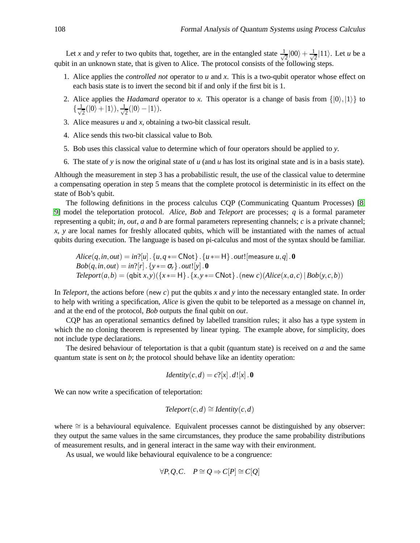Let *x* and *y* refer to two qubits that, together, are in the entangled state  $\frac{1}{\sqrt{2}}$  $\frac{1}{2}|00\rangle + \frac{1}{\sqrt{2}}$  $\frac{1}{2}$ |11). Let *u* be a qubit in an unknown state, that is given to Alice. The protocol consists of the following steps.

- 1. Alice applies the *controlled not* operator to *u* and *x*. This is a two-qubit operator whose effect on each basis state is to invert the second bit if and only if the first bit is 1.
- 2. Alice applies the *Hadamard* operator to *x*. This operator is a change of basis from  $\{|0\rangle, |1\rangle\}$  to  $\{\frac{1}{\sqrt{2}}\}$  $\frac{1}{2}(|0\rangle+|1\rangle), \frac{1}{\sqrt{2}}$  $\frac{1}{2}(|0\rangle - |1\rangle).$
- 3. Alice measures *u* and *x*, obtaining a two-bit classical result.
- 4. Alice sends this two-bit classical value to Bob.
- 5. Bob uses this classical value to determine which of four operators should be applied to *y*.
- 6. The state of *y* is now the original state of *u* (and *u* has lost its original state and is in a basis state).

Although the measurement in step 3 has a probabilistic result, the use of the classical value to determine a compensating operation in step 5 means that the complete protocol is deterministic in its effect on the state of Bob's qubit.

The following definitions in the process calculus CQP (Communicating Quantum Processes) [\[8,](#page-5-3) [9\]](#page-5-4) model the teleportation protocol. *Alice*, *Bob* and *Teleport* are processes; *q* is a formal parameter representing a qubit; *in*, *out*, *a* and *b* are formal parameters representing channels; *c* is a private channel; *x*, *y* are local names for freshly allocated qubits, which will be instantiated with the names of actual qubits during execution. The language is based on pi-calculus and most of the syntax should be familiar.

$$
Alice(q, in, out) = in?[u]. \{u, q \ast = \text{CNot}\}.\{u \ast = H\}.\text{out![measure } u, q].\textbf{0}
$$
\n
$$
Bob(q, in, out) = in?[r]. \{y \ast = \sigma_r\}.\text{out!}[y].\textbf{0}
$$
\n
$$
Teleport(a, b) = (\text{qbit } x, y) (\{x \ast = H\}.\{x, y \ast = \text{CNot}\}.\text{(new } c) (Alice(x, a, c) \mid Bob(y, c, b))
$$

In *Teleport*, the actions before (new *c*) put the qubits *x* and *y* into the necessary entangled state. In order to help with writing a specification, *Alice* is given the qubit to be teleported as a message on channel *in*, and at the end of the protocol, *Bob* outputs the final qubit on *out*.

CQP has an operational semantics defined by labelled transition rules; it also has a type system in which the no cloning theorem is represented by linear typing. The example above, for simplicity, does not include type declarations.

The desired behaviour of teleportation is that a qubit (quantum state) is received on *a* and the same quantum state is sent on *b*; the protocol should behave like an identity operation:

Identity
$$
(c,d) = c
$$
?[x].d![x].0

We can now write a specification of teleportation:

$$
Teleport(c,d) \cong Identity(c,d)
$$

where ≅ is a behavioural equivalence. Equivalent processes cannot be distinguished by any observer: they output the same values in the same circumstances, they produce the same probability distributions of measurement results, and in general interact in the same way with their environment.

As usual, we would like behavioural equivalence to be a congruence:

$$
\forall P, Q, C. \quad P \cong Q \Rightarrow C[P] \cong C[Q]
$$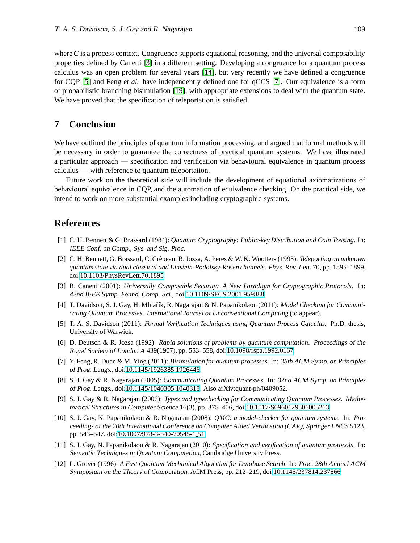where  $C$  is a process context. Congruence supports equational reasoning, and the universal composability properties defined by Canetti [\[3\]](#page-5-10) in a different setting. Developing a congruence for a quantum process calculus was an open problem for several years [\[14\]](#page-6-7), but very recently we have defined a congruence for CQP [\[5\]](#page-5-5) and Feng *et al.* have independently defined one for qCCS [\[7\]](#page-5-11). Our equivalence is a form of probabilistic branching bisimulation [\[19\]](#page-6-8), with appropriate extensions to deal with the quantum state. We have proved that the specification of teleportation is satisfied.

### **7 Conclusion**

We have outlined the principles of quantum information processing, and argued that formal methods will be necessary in order to guarantee the correctness of practical quantum systems. We have illustrated a particular approach — specification and verification via behavioural equivalence in quantum process calculus — with reference to quantum teleportation.

Future work on the theoretical side will include the development of equational axiomatizations of behavioural equivalence in CQP, and the automation of equivalence checking. On the practical side, we intend to work on more substantial examples including cryptographic systems.

### <span id="page-5-2"></span>**References**

- [1] C. H. Bennett & G. Brassard (1984): *Quantum Cryptography: Public-key Distribution and Coin Tossing*. In: IEEE Conf. on Comp., Sys. and Sig. Proc.
- <span id="page-5-9"></span>[2] C. H. Bennett, G. Brassard, C. Cr´epeau, R. Jozsa, A. Peres & W. K. Wootters (1993): *Teleporting an unknown quantum state via dual classical and Einstein-Podolsky-Rosen channels*. Phys. Rev. Lett. 70, pp. 1895–1899, doi[:10.1103/PhysRevLett.70.1895.](http://dx.doi.org/10.1103/PhysRevLett.70.1895)
- <span id="page-5-10"></span>[3] R. Canetti (2001): *Universally Composable Security: A New Paradigm for Cryptographic Protocols*. In: 42nd IEEE Symp. Found. Comp. Sci., doi[:10.1109/SFCS.2001.959888.](http://dx.doi.org/10.1109/SFCS.2001.959888)
- <span id="page-5-8"></span>[4] T. Davidson, S. J. Gay, H. Mlnařík, R. Nagarajan & N. Papanikolaou (2011): *Model Checking for Communicating Quantum Processes*. International Journal of Unconventional Computing (to appear).
- <span id="page-5-5"></span>[5] T. A. S. Davidson (2011): *Formal Verification Techniques using Quantum Process Calculus*. Ph.D. thesis, University of Warwick.
- <span id="page-5-0"></span>[6] D. Deutsch & R. Jozsa (1992): *Rapid solutions of problems by quantum computation*. Proceedings of the Royal Society of London <sup>A</sup> 439(1907), pp. 553–558, doi[:10.1098/rspa.1992.0167.](http://dx.doi.org/10.1098/rspa.1992.0167)
- <span id="page-5-11"></span>[7] Y. Feng, R. Duan & M. Ying (2011): *Bisimulation for quantum processes*. In: 38th ACM Symp. on Principles of Prog. Langs., doi[:10.1145/1926385.1926446.](http://dx.doi.org/10.1145/1926385.1926446)
- <span id="page-5-3"></span>[8] S. J. Gay & R. Nagarajan (2005): *Communicating Quantum Processes*. In: 32nd ACM Symp. on Principles of Prog. Langs., doi[:10.1145/1040305.1040318.](http://dx.doi.org/10.1145/1040305.1040318) Also arXiv:quant-ph/0409052.
- <span id="page-5-4"></span>[9] S. J. Gay & R. Nagarajan (2006): *Types and typechecking for Communicating Quantum Processes*. Mathematical Structures in Computer Science 16(3), pp. 375–406, doi[:10.1017/S0960129506005263.](http://dx.doi.org/10.1017/S0960129506005263)
- <span id="page-5-6"></span>[10] S. J. Gay, N. Papanikolaou & R. Nagarajan (2008): *QMC: a model-checker for quantum systems*. In: Proceedings of the 20th International Conference on Computer Aided Verification (CAV), Springer LNCS 5123, pp. 543–547, doi[:10.1007/978-3-540-70545-1](http://dx.doi.org/10.1007/978-3-540-70545-1_51) 51.
- <span id="page-5-7"></span>[11] S. J. Gay, N. Papanikolaou & R. Nagarajan (2010): *Specification and verification of quantum protocols*. In: Semantic Techniques in Quantum Computation, Cambridge University Press.
- <span id="page-5-1"></span>[12] L. Grover (1996): *A Fast Quantum Mechanical Algorithm for Database Search*. In: Proc. 28th Annual ACM Symposium on the Theory of Computation, ACM Press, pp. 212–219, doi[:10.1145/237814.237866.](http://dx.doi.org/10.1145/237814.237866)